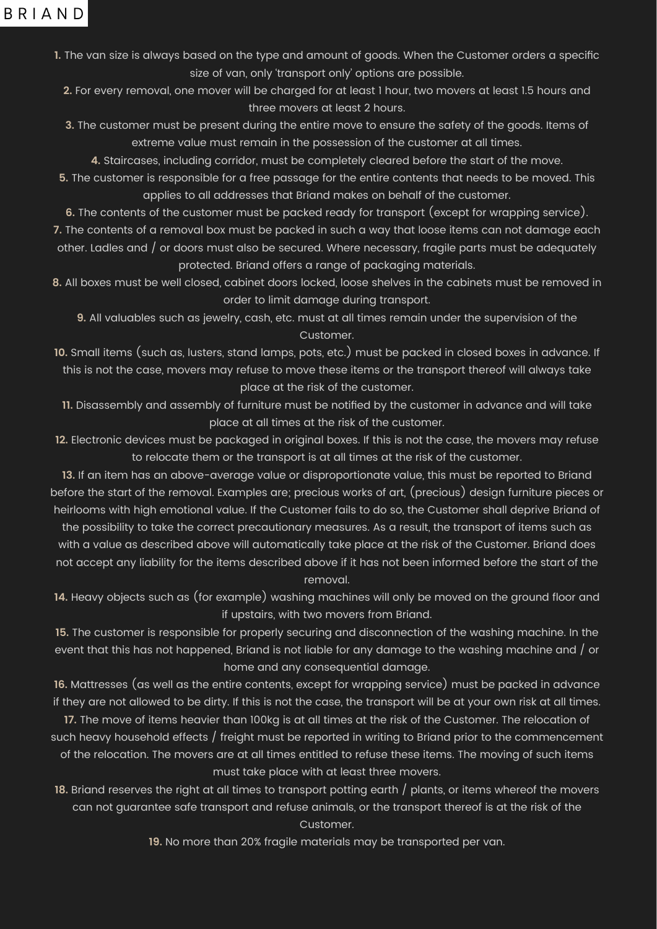## BRIAND

**1.** The van size is always based on the type and amount of goods. When the Customer orders a specific size of van, only 'transport only' options are possible.

- **2.** For every removal, one mover will be charged for at least 1 hour, two movers at least 1.5 hours and three movers at least 2 hours.
- **3.** The customer must be present during the entire move to ensure the safety of the goods. Items of extreme value must remain in the possession of the customer at all times.
	- **4.** Staircases, including corridor, must be completely cleared before the start of the move.
- **5.** The customer is responsible for a free passage for the entire contents that needs to be moved. This applies to all addresses that Briand makes on behalf of the customer.
- **6.** The contents of the customer must be packed ready for transport (except for wrapping service).
- 7. The contents of a removal box must be packed in such a way that loose items can not damage each

other. Ladles and / or doors must also be secured. Where necessary, fragile parts must be adequately protected. Briand offers a range of packaging materials.

**8.** All boxes must be well closed, cabinet doors locked, loose shelves in the cabinets must be removed in order to limit damage during transport.

**9.** All valuables such as jewelry, cash, etc. must at all times remain under the supervision of the Customer.

**10.** Small items (such as, lusters, stand lamps, pots, etc.) must be packed in closed boxes in advance. If this is not the case, movers may refuse to move these items or the transport thereof will always take place at the risk of the customer.

**11.** Disassembly and assembly of furniture must be notified by the customer in advance and will take place at all times at the risk of the customer.

**12.** Electronic devices must be packaged in original boxes. If this is not the case, the movers may refuse to relocate them or the transport is at all times at the risk of the customer.

**13.** If an item has an above-average value or disproportionate value, this must be reported to Briand before the start of the removal. Examples are; precious works of art, (precious) design furniture pieces or heirlooms with high emotional value. If the Customer fails to do so, the Customer shall deprive Briand of the possibility to take the correct precautionary measures. As a result, the transport of items such as with a value as described above will automatically take place at the risk of the Customer. Briand does not accept any liability for the items described above if it has not been informed before the start of the removal.

**14.** Heavy objects such as (for example) washing machines will only be moved on the ground floor and if upstairs, with two movers from Briand.

**15.** The customer is responsible for properly securing and disconnection of the washing machine. In the event that this has not happened, Briand is not liable for any damage to the washing machine and / or home and any consequential damage.

**16.** Mattresses (as well as the entire contents, except for wrapping service) must be packed in advance if they are not allowed to be dirty. If this is not the case, the transport will be at your own risk at all times.

**17.** The move of items heavier than 100kg is at all times at the risk of the Customer. The relocation of such heavy household effects / freight must be reported in writing to Briand prior to the commencement of the relocation. The movers are at all times entitled to refuse these items. The moving of such items must take place with at least three movers.

**18.** Briand reserves the right at all times to transport potting earth / plants, or items whereof the movers can not guarantee safe transport and refuse animals, or the transport thereof is at the risk of the Customer.

**19.** No more than 20% fragile materials may be transported per van.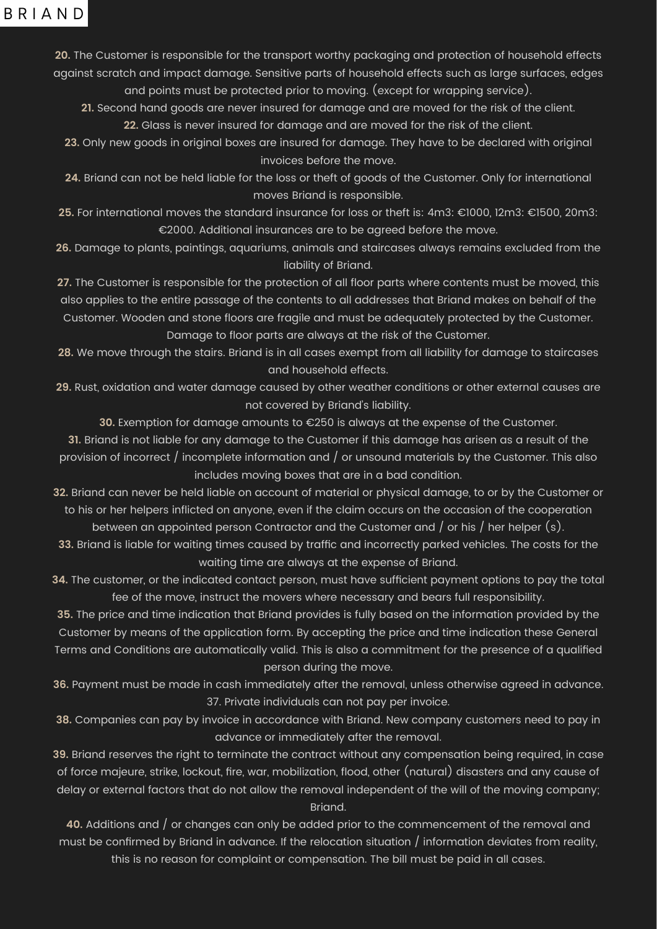## BRIAND

**20.** The Customer is responsible for the transport worthy packaging and protection of household effects against scratch and impact damage. Sensitive parts of household effects such as large surfaces, edges and points must be protected prior to moving. (except for wrapping service). **21.** Second hand goods are never insured for damage and are moved for the risk of the client. **22.** Glass is never insured for damage and are moved for the risk of the client. **23.** Only new goods in original boxes are insured for damage. They have to be declared with original invoices before the move.

**24.** Briand can not be held liable for the loss or theft of goods of the Customer. Only for international moves Briand is responsible.

**27.** The Customer is responsible for the protection of all floor parts where contents must be moved, this also applies to the entire passage of the contents to all addresses that Briand makes on behalf of the Customer. Wooden and stone floors are fragile and must be adequately protected by the Customer. Damage to floor parts are always at the risk of the Customer.

**25.** For international moves the standard insurance for loss or theft is: 4m3: €1000, 12m3: €1500, 20m3: €2000. Additional insurances are to be agreed before the move.

**26.** Damage to plants, paintings, aquariums, animals and staircases always remains excluded from the liability of Briand.

**31.** Briand is not liable for any damage to the Customer if this damage has arisen as a result of the provision of incorrect / incomplete information and / or unsound materials by the Customer. This also includes moving boxes that are in a bad condition.

**28.** We move through the stairs. Briand is in all cases exempt from all liability for damage to staircases and household effects.

**29.** Rust, oxidation and water damage caused by other weather conditions or other external causes are not covered by Briand's liability.

**30.** Exemption for damage amounts to €250 is always at the expense of the Customer.

39. Briand reserves the right to terminate the contract without any compensation being required, in case of force majeure, strike, lockout, fire, war, mobilization, flood, other (natural) disasters and any cause of delay or external factors that do not allow the removal independent of the will of the moving company; Briand.

**40.** Additions and / or changes can only be added prior to the commencement of the removal and must be confirmed by Briand in advance. If the relocation situation  $/$  information deviates from reality, this is no reason for complaint or compensation. The bill must be paid in all cases.

**32.** Briand can never be held liable on account of material or physical damage, to or by the Customer or to his or her helpers inflicted on anyone, even if the claim occurs on the occasion of the cooperation between an appointed person Contractor and the Customer and / or his / her helper (s). **33.** Briand is liable for waiting times caused by traffic and incorrectly parked vehicles. The costs for the waiting time are always at the expense of Briand.

**34.** The customer, or the indicated contact person, must have sufficient payment options to pay the total fee of the move, instruct the movers where necessary and bears full responsibility.

**35.** The price and time indication that Briand provides is fully based on the information provided by the Customer by means of the application form. By accepting the price and time indication these General Terms and Conditions are automatically valid. This is also a commitment for the presence of a qualified person during the move.

**36.** Payment must be made in cash immediately after the removal, unless otherwise agreed in advance. 37. Private individuals can not pay per invoice.

**38.** Companies can pay by invoice in accordance with Briand. New company customers need to pay in advance or immediately after the removal.